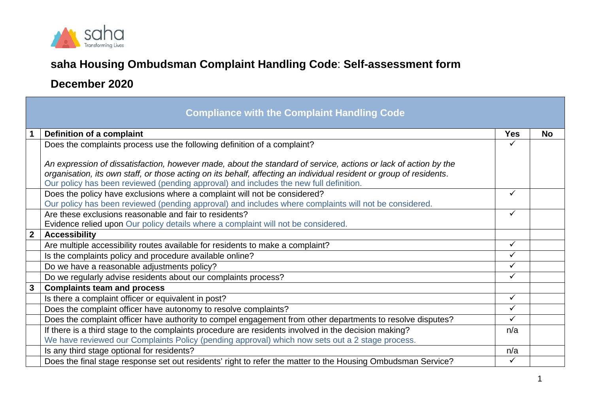

## **saha Housing Ombudsman Complaint Handling Code**: **Self-assessment form**

## **December 2020**

| <b>Compliance with the Complaint Handling Code</b> |                                                                                                                     |              |           |  |  |  |
|----------------------------------------------------|---------------------------------------------------------------------------------------------------------------------|--------------|-----------|--|--|--|
|                                                    | Definition of a complaint                                                                                           | <b>Yes</b>   | <b>No</b> |  |  |  |
|                                                    | Does the complaints process use the following definition of a complaint?                                            |              |           |  |  |  |
|                                                    |                                                                                                                     |              |           |  |  |  |
|                                                    | An expression of dissatisfaction, however made, about the standard of service, actions or lack of action by the     |              |           |  |  |  |
|                                                    | organisation, its own staff, or those acting on its behalf, affecting an individual resident or group of residents. |              |           |  |  |  |
|                                                    | Our policy has been reviewed (pending approval) and includes the new full definition.                               |              |           |  |  |  |
|                                                    | Does the policy have exclusions where a complaint will not be considered?                                           | $\checkmark$ |           |  |  |  |
|                                                    | Our policy has been reviewed (pending approval) and includes where complaints will not be considered.               |              |           |  |  |  |
|                                                    | Are these exclusions reasonable and fair to residents?                                                              | $\checkmark$ |           |  |  |  |
|                                                    | Evidence relied upon Our policy details where a complaint will not be considered.                                   |              |           |  |  |  |
| $\overline{2}$                                     | <b>Accessibility</b>                                                                                                |              |           |  |  |  |
|                                                    | Are multiple accessibility routes available for residents to make a complaint?                                      | $\checkmark$ |           |  |  |  |
|                                                    | Is the complaints policy and procedure available online?                                                            | ✓            |           |  |  |  |
|                                                    | Do we have a reasonable adjustments policy?                                                                         | $\checkmark$ |           |  |  |  |
|                                                    | Do we regularly advise residents about our complaints process?                                                      | ✓            |           |  |  |  |
| $\mathbf{3}$                                       | <b>Complaints team and process</b>                                                                                  |              |           |  |  |  |
|                                                    | Is there a complaint officer or equivalent in post?                                                                 | $\checkmark$ |           |  |  |  |
|                                                    | Does the complaint officer have autonomy to resolve complaints?                                                     | $\checkmark$ |           |  |  |  |
|                                                    | Does the complaint officer have authority to compel engagement from other departments to resolve disputes?          | $\checkmark$ |           |  |  |  |
|                                                    | If there is a third stage to the complaints procedure are residents involved in the decision making?                | n/a          |           |  |  |  |
|                                                    | We have reviewed our Complaints Policy (pending approval) which now sets out a 2 stage process.                     |              |           |  |  |  |
|                                                    | Is any third stage optional for residents?                                                                          | n/a          |           |  |  |  |
|                                                    | Does the final stage response set out residents' right to refer the matter to the Housing Ombudsman Service?        | $\checkmark$ |           |  |  |  |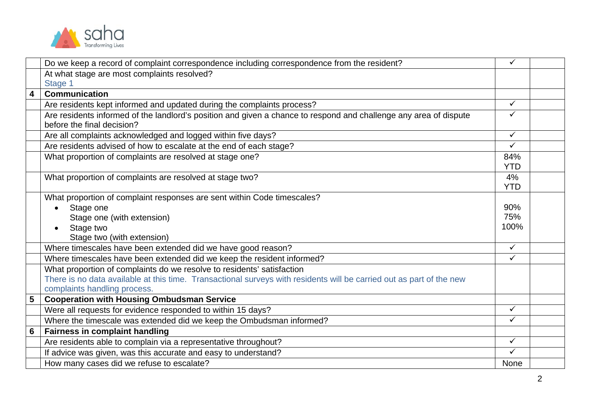

|                         | Do we keep a record of complaint correspondence including correspondence from the resident?                          | ✓            |  |
|-------------------------|----------------------------------------------------------------------------------------------------------------------|--------------|--|
|                         | At what stage are most complaints resolved?                                                                          |              |  |
|                         | Stage 1                                                                                                              |              |  |
| $\overline{\mathbf{4}}$ | <b>Communication</b>                                                                                                 |              |  |
|                         | Are residents kept informed and updated during the complaints process?                                               | ✓            |  |
|                         | Are residents informed of the landlord's position and given a chance to respond and challenge any area of dispute    | $\checkmark$ |  |
|                         | before the final decision?                                                                                           |              |  |
|                         | Are all complaints acknowledged and logged within five days?                                                         | $\checkmark$ |  |
|                         | Are residents advised of how to escalate at the end of each stage?                                                   | ✓            |  |
|                         | What proportion of complaints are resolved at stage one?                                                             | 84%          |  |
|                         |                                                                                                                      | <b>YTD</b>   |  |
|                         | What proportion of complaints are resolved at stage two?                                                             | 4%           |  |
|                         |                                                                                                                      | <b>YTD</b>   |  |
|                         | What proportion of complaint responses are sent within Code timescales?                                              |              |  |
|                         | Stage one                                                                                                            | 90%          |  |
|                         | Stage one (with extension)                                                                                           | 75%          |  |
|                         | Stage two                                                                                                            | 100%         |  |
|                         | Stage two (with extension)                                                                                           |              |  |
|                         | Where timescales have been extended did we have good reason?                                                         | $\checkmark$ |  |
|                         | Where timescales have been extended did we keep the resident informed?                                               | ✓            |  |
|                         | What proportion of complaints do we resolve to residents' satisfaction                                               |              |  |
|                         | There is no data available at this time. Transactional surveys with residents will be carried out as part of the new |              |  |
|                         | complaints handling process.                                                                                         |              |  |
| 5                       | <b>Cooperation with Housing Ombudsman Service</b>                                                                    |              |  |
|                         | Were all requests for evidence responded to within 15 days?                                                          | ✓            |  |
|                         | Where the timescale was extended did we keep the Ombudsman informed?                                                 | ✓            |  |
| 6                       | <b>Fairness in complaint handling</b>                                                                                |              |  |
|                         | Are residents able to complain via a representative throughout?                                                      | ✓            |  |
|                         | If advice was given, was this accurate and easy to understand?                                                       | ✓            |  |
|                         | How many cases did we refuse to escalate?                                                                            | None         |  |